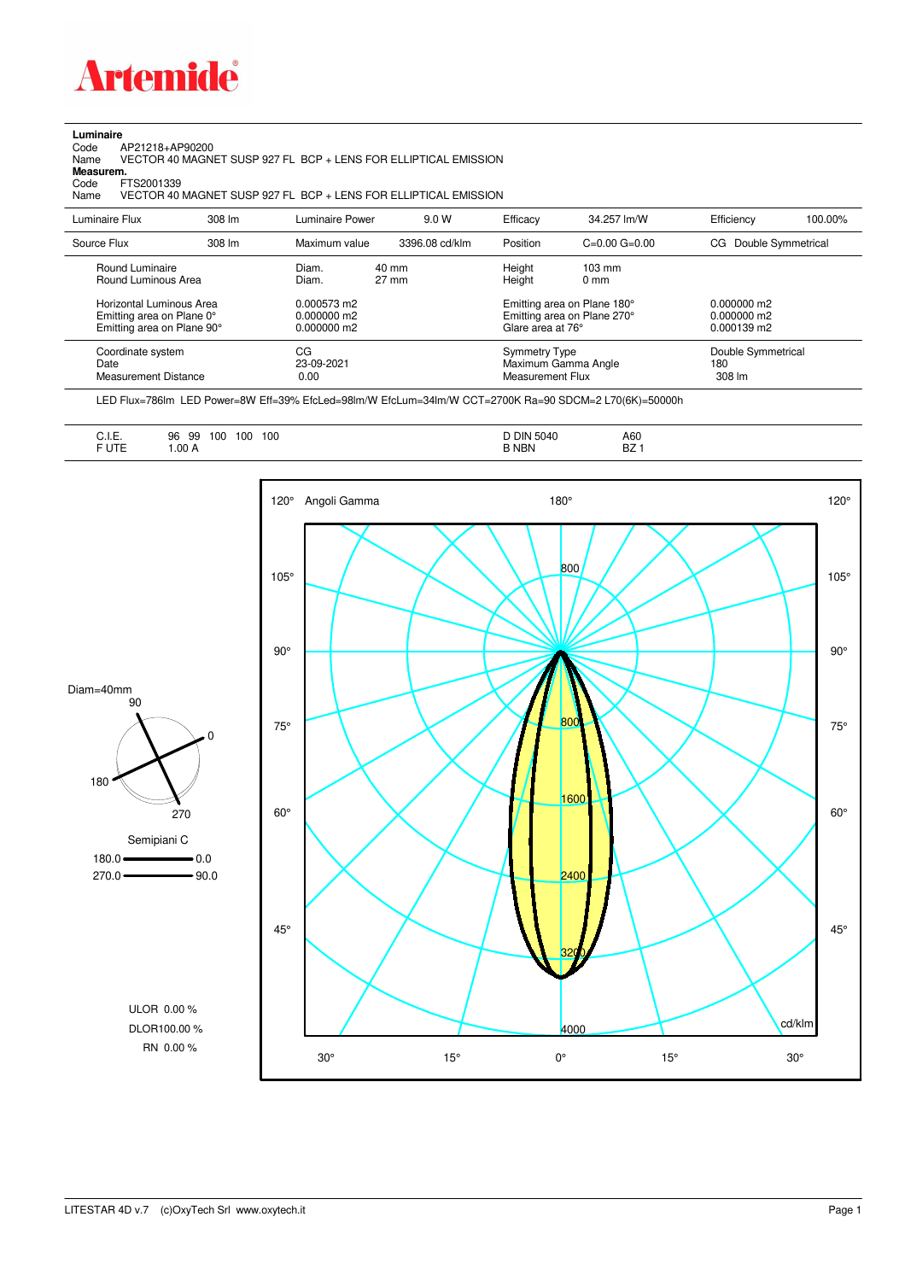

## **Luminaire**<br>Code<br>Name

Code AP21218+AP90200 Name VECTOR 40 MAGNET SUSP 927 FL BCP + LENS FOR ELLIPTICAL EMISSION **Measurem.**

Code FTS2001339<br>Name VECTOR 40 VECTOR 40 MAGNET SUSP 927 FL BCP + LENS FOR ELLIPTICAL EMISSION

| Luminaire Flux                                                                                                                | 308 lm | Luminaire Power                                                   | 9.0 W                    | Efficacy                                 | 34.257 lm/W                                                                                      | Efficiency                                             | 100.00% |
|-------------------------------------------------------------------------------------------------------------------------------|--------|-------------------------------------------------------------------|--------------------------|------------------------------------------|--------------------------------------------------------------------------------------------------|--------------------------------------------------------|---------|
| Source Flux                                                                                                                   | 308 lm | Maximum value                                                     | 3396.08 cd/klm           | Position                                 | $C=0.00$ $G=0.00$                                                                                | Double Symmetrical<br>CG.                              |         |
| Round Luminaire<br>Round Luminous Area<br>Horizontal Luminous Area<br>Emitting area on Plane 0°<br>Emitting area on Plane 90° |        | Diam.<br>Diam.<br>$0.000573$ m2<br>$0.000000$ m2<br>$0.000000$ m2 | 40 mm<br>$27 \text{ mm}$ | Height<br>Height<br>Glare area at 76°    | $103 \text{ mm}$<br>$0 \text{ mm}$<br>Emitting area on Plane 180°<br>Emitting area on Plane 270° | $0.000000$ m2<br>$0.000000$ m2<br>$0.000139 \text{ m}$ |         |
| Coordinate system<br>Date<br>Measurement Distance                                                                             |        | CG<br>23-09-2021<br>0.00                                          |                          | <b>Symmetry Type</b><br>Measurement Flux | Maximum Gamma Angle                                                                              | Double Symmetrical<br>180<br>308 lm                    |         |

LED Flux=786lm LED Power=8W Eff=39% EfcLed=98lm/W EfcLum=34lm/W CCT=2700K Ra=90 SDCM=2 L70(6K)=50000h

| $\overline{\phantom{a}}$<br>100<br>100<br>100<br>99<br>96<br>◡…<br><b>FUTE</b><br>.00A<br>______ | <b>DIN 5040</b><br><b>B NBN</b> | A60<br><b>BZ</b> |
|--------------------------------------------------------------------------------------------------|---------------------------------|------------------|
|--------------------------------------------------------------------------------------------------|---------------------------------|------------------|